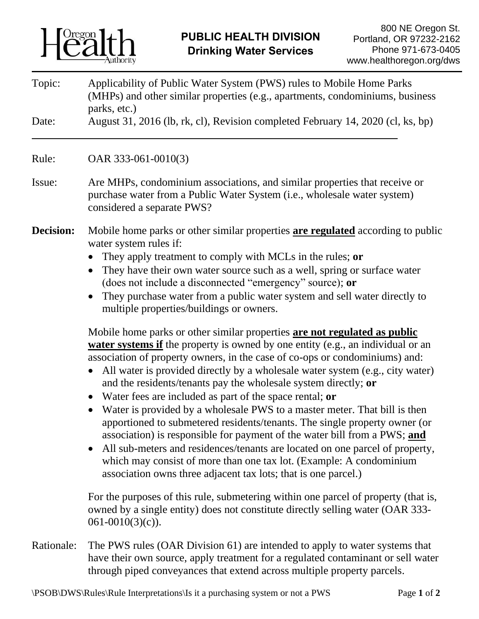

| Topic: | Applicability of Public Water System (PWS) rules to Mobile Home Parks           |
|--------|---------------------------------------------------------------------------------|
|        | (MHPs) and other similar properties (e.g., apartments, condominiums, business   |
|        | parks, etc.)                                                                    |
| Date:  | August 31, 2016 (lb, rk, cl), Revision completed February 14, 2020 (cl, ks, bp) |

Rule: OAR 333-061-0010(3)

- Issue: Are MHPs, condominium associations, and similar properties that receive or purchase water from a Public Water System (i.e., wholesale water system) considered a separate PWS?
- **Decision:** Mobile home parks or other similar properties **are regulated** according to public water system rules if:
	- They apply treatment to comply with MCLs in the rules; **or**
	- They have their own water source such as a well, spring or surface water (does not include a disconnected "emergency" source); **or**
	- They purchase water from a public water system and sell water directly to multiple properties/buildings or owners.

Mobile home parks or other similar properties **are not regulated as public water systems if** the property is owned by one entity (e.g., an individual or an association of property owners, in the case of co-ops or condominiums) and:

- All water is provided directly by a wholesale water system (e.g., city water) and the residents/tenants pay the wholesale system directly; **or**
- Water fees are included as part of the space rental; **or**
- Water is provided by a wholesale PWS to a master meter. That bill is then apportioned to submetered residents/tenants. The single property owner (or association) is responsible for payment of the water bill from a PWS; **and**
- All sub-meters and residences/tenants are located on one parcel of property, which may consist of more than one tax lot. (Example: A condominium association owns three adjacent tax lots; that is one parcel.)

For the purposes of this rule, submetering within one parcel of property (that is, owned by a single entity) does not constitute directly selling water (OAR 333- 061-0010(3)(c)).

Rationale: The PWS rules (OAR Division 61) are intended to apply to water systems that have their own source, apply treatment for a regulated contaminant or sell water through piped conveyances that extend across multiple property parcels.